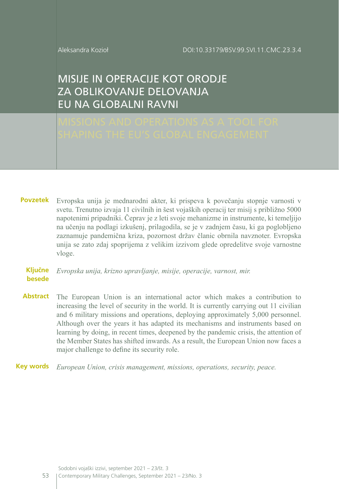DOI:10.33179/BSV.99.SVI.11.CMC.23.3.4

Aleksandra Kozioł

# MISIJE IN OPERACIJE KOT ORODJE ZA OBLIKOVANJE DELOVANJA EU NA GLOBALNI RAVNI

Evropska unija je mednarodni akter, ki prispeva k povečanju stopnje varnosti v **Povzetek** svetu. Trenutno izvaja 11 civilnih in šest vojaških operacij ter misij s približno 5000 napotenimi pripadniki. Čeprav je z leti svoje mehanizme in instrumente, ki temeljijo na učenju na podlagi izkušenj, prilagodila, se je v zadnjem času, ki ga poglobljeno zaznamuje pandemična kriza, pozornost držav članic obrnila navznoter. Evropska unija se zato zdaj spoprijema z velikim izzivom glede opredelitve svoje varnostne vloge.

#### *Evropska unija, krizno upravljanje, misije, operacije, varnost, mir.* **Ključne besede**

The European Union is an international actor which makes a contribution to increasing the level of security in the world. It is currently carrying out 11 civilian and 6 military missions and operations, deploying approximately 5,000 personnel. Although over the years it has adapted its mechanisms and instruments based on learning by doing, in recent times, deepened by the pandemic crisis, the attention of the Member States has shifted inwards. As a result, the European Union now faces a major challenge to define its security role. **Abstract**

*European Union, crisis management, missions, operations, security, peace.*  **Key words**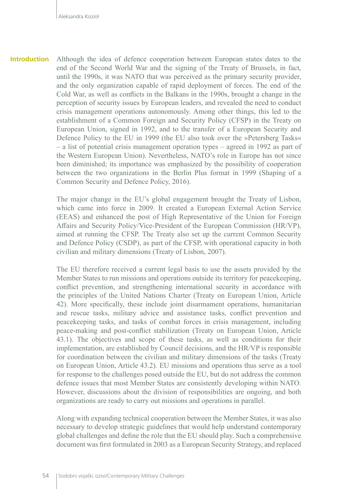Although the idea of defence cooperation between European states dates to the end of the Second World War and the signing of the Treaty of Brussels, in fact, until the 1990s, it was NATO that was perceived as the primary security provider, and the only organization capable of rapid deployment of forces. The end of the Cold War, as well as conflicts in the Balkans in the 1990s, brought a change in the perception of security issues by European leaders, and revealed the need to conduct crisis management operations autonomously. Among other things, this led to the establishment of a Common Foreign and Security Policy (CFSP) in the Treaty on European Union, signed in 1992, and to the transfer of a European Security and Defence Policy to the EU in 1999 (the EU also took over the »Petersberg Tasks« – a list of potential crisis management operation types – agreed in 1992 as part of the Western European Union). Nevertheless, NATO's role in Europe has not since been diminished; its importance was emphasized by the possibility of cooperation between the two organizations in the Berlin Plus format in 1999 (Shaping of a Common Security and Defence Policy, 2016). **Introduction**

> The major change in the EU's global engagement brought the Treaty of Lisbon, which came into force in 2009. It created a European External Action Service (EEAS) and enhanced the post of High Representative of the Union for Foreign Affairs and Security Policy/Vice-President of the European Commission (HR/VP), aimed at running the CFSP. The Treaty also set up the current Common Security and Defence Policy (CSDP), as part of the CFSP, with operational capacity in both civilian and military dimensions (Treaty of Lisbon, 2007).

> The EU therefore received a current legal basis to use the assets provided by the Member States to run missions and operations outside its territory for peacekeeping, conflict prevention, and strengthening international security in accordance with the principles of the United Nations Charter (Treaty on European Union, Article 42). More specifically, these include joint disarmament operations, humanitarian and rescue tasks, military advice and assistance tasks, conflict prevention and peacekeeping tasks, and tasks of combat forces in crisis management, including peace-making and post-conflict stabilization (Treaty on European Union, Article 43.1). The objectives and scope of these tasks, as well as conditions for their implementation, are established by Council decisions, and the HR/VP is responsible for coordination between the civilian and military dimensions of the tasks (Treaty on European Union, Article 43.2). EU missions and operations thus serve as a tool for response to the challenges posed outside the EU, but do not address the common defence issues that most Member States are consistently developing within NATO. However, discussions about the division of responsibilities are ongoing, and both organizations are ready to carry out missions and operations in parallel.

> Along with expanding technical cooperation between the Member States, it was also necessary to develop strategic guidelines that would help understand contemporary global challenges and define the role that the EU should play. Such a comprehensive document was first formulated in 2003 as a European Security Strategy, and replaced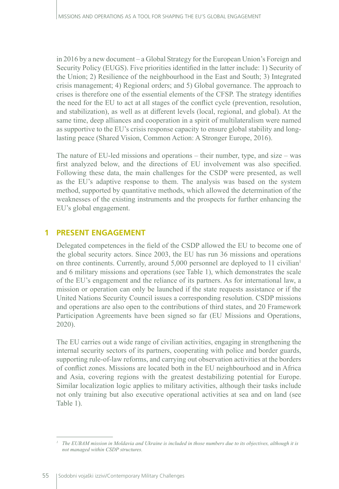in 2016 by a new document – a Global Strategy for the European Union's Foreign and Security Policy (EUGS). Five priorities identified in the latter include: 1) Security of the Union; 2) Resilience of the neighbourhood in the East and South; 3) Integrated crisis management; 4) Regional orders; and 5) Global governance. The approach to crises is therefore one of the essential elements of the CFSP. The strategy identifies the need for the EU to act at all stages of the conflict cycle (prevention, resolution, and stabilization), as well as at different levels (local, regional, and global). At the same time, deep alliances and cooperation in a spirit of multilateralism were named as supportive to the EU's crisis response capacity to ensure global stability and longlasting peace (Shared Vision, Common Action: A Stronger Europe, 2016).

The nature of EU-led missions and operations – their number, type, and size – was first analyzed below, and the directions of EU involvement was also specified. Following these data, the main challenges for the CSDP were presented, as well as the EU's adaptive response to them. The analysis was based on the system method, supported by quantitative methods, which allowed the determination of the weaknesses of the existing instruments and the prospects for further enhancing the EU's global engagement.

## **1 PRESENT ENGAGEMENT**

Delegated competences in the field of the CSDP allowed the EU to become one of the global security actors. Since 2003, the EU has run 36 missions and operations on three continents. Currently, around  $5,000$  personnel are deployed to 11 civilian<sup>1</sup> and 6 military missions and operations (see Table 1), which demonstrates the scale of the EU's engagement and the reliance of its partners. As for international law, a mission or operation can only be launched if the state requests assistance or if the United Nations Security Council issues a corresponding resolution. CSDP missions and operations are also open to the contributions of third states, and 20 Framework Participation Agreements have been signed so far (EU Missions and Operations, 2020).

The EU carries out a wide range of civilian activities, engaging in strengthening the internal security sectors of its partners, cooperating with police and border guards, supporting rule-of-law reforms, and carrying out observation activities at the borders of conflict zones. Missions are located both in the EU neighbourhood and in Africa and Asia, covering regions with the greatest destabilizing potential for Europe. Similar localization logic applies to military activities, although their tasks include not only training but also executive operational activities at sea and on land (see Table 1).

*<sup>1</sup> The EUBAM mission in Moldavia and Ukraine is included in those numbers due to its objectives, although it is not managed within CSDP structures.*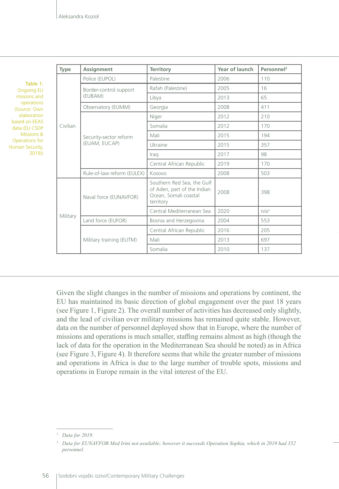|                                                                                                                                                                                          | <b>Type</b> | Assignment                              | <b>Territory</b>                                                                                | Year of launch | Personnel <sup>2</sup> |
|------------------------------------------------------------------------------------------------------------------------------------------------------------------------------------------|-------------|-----------------------------------------|-------------------------------------------------------------------------------------------------|----------------|------------------------|
| Table 1:<br><b>Ongoing EU</b><br>missions and<br>operations<br>(Source: Own<br>elaboration<br>based on EEAS<br>data (EU CSDP<br>Missions &<br>Operations for<br>Human Security,<br>2019) | Civilian    | Police (EUPOL)                          | Palestine                                                                                       | 2006           | 110                    |
|                                                                                                                                                                                          |             | Border-control support<br>(EUBAM)       | Rafah (Palestine)                                                                               | 2005           | 16                     |
|                                                                                                                                                                                          |             |                                         | Libya                                                                                           | 2013           | 65                     |
|                                                                                                                                                                                          |             | Observatory (EUMM)                      | Georgia                                                                                         | 2008           | 411                    |
|                                                                                                                                                                                          |             | Security-sector reform<br>(EUAM, EUCAP) | Niger                                                                                           | 2012           | 210                    |
|                                                                                                                                                                                          |             |                                         | Somalia                                                                                         | 2012           | 170                    |
|                                                                                                                                                                                          |             |                                         | Mali                                                                                            | 2015           | 194                    |
|                                                                                                                                                                                          |             |                                         | Ukraine                                                                                         | 2015           | 357                    |
|                                                                                                                                                                                          |             |                                         | Iraq                                                                                            | 2017           | 98                     |
|                                                                                                                                                                                          |             |                                         | Central African Republic                                                                        | 2019           | 170                    |
|                                                                                                                                                                                          |             | Rule-of-law reform (EULEX)              | Kosovo                                                                                          | 2008           | 503                    |
|                                                                                                                                                                                          | Military    | Naval force (EUNAVFOR)                  | Southern Red Sea, the Gulf<br>of Aden, part of the Indian<br>Ocean, Somali coastal<br>territory | 2008           | 398                    |
|                                                                                                                                                                                          |             |                                         | Central Mediterranean Sea                                                                       | 2020           | n/a <sup>3</sup>       |
|                                                                                                                                                                                          |             | Land force (EUFOR)                      | Bosnia and Herzegovina                                                                          | 2004           | 553                    |
|                                                                                                                                                                                          |             | Military training (EUTM)                | Central African Republic                                                                        | 2016           | 205                    |
|                                                                                                                                                                                          |             |                                         | Mali                                                                                            | 2013           | 697                    |
|                                                                                                                                                                                          |             |                                         | Somalia                                                                                         | 2010           | 137                    |

Given the slight changes in the number of missions and operations by continent, the EU has maintained its basic direction of global engagement over the past 18 years (see Figure 1, Figure 2). The overall number of activities has decreased only slightly, and the lead of civilian over military missions has remained quite stable. However, data on the number of personnel deployed show that in Europe, where the number of missions and operations is much smaller, staffing remains almost as high (though the lack of data for the operation in the Mediterranean Sea should be noted) as in Africa (see Figure 3, Figure 4). It therefore seems that while the greater number of missions and operations in Africa is due to the large number of trouble spots, missions and operations in Europe remain in the vital interest of the EU.

*<sup>2</sup> Data for 2019.*

*<sup>3</sup> Data for EUNAVFOR Med Irini not available; however it succeeds Operation Sophia, which in 2019 had 352 personnel.*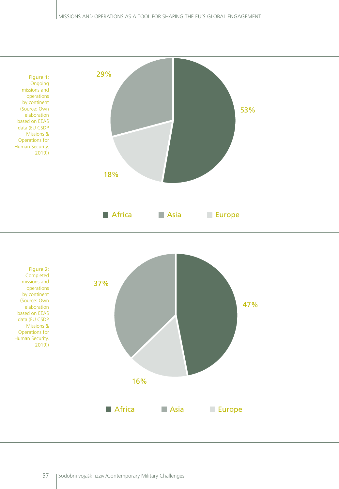

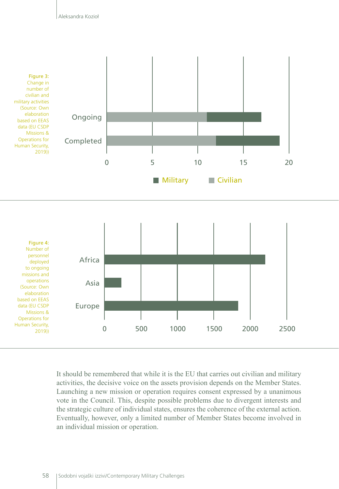

It should be remembered that while it is the EU that carries out civilian and military activities, the decisive voice on the assets provision depends on the Member States. Launching a new mission or operation requires consent expressed by a unanimous vote in the Council. This, despite possible problems due to divergent interests and the strategic culture of individual states, ensures the coherence of the external action. Eventually, however, only a limited number of Member States become involved in an individual mission or operation.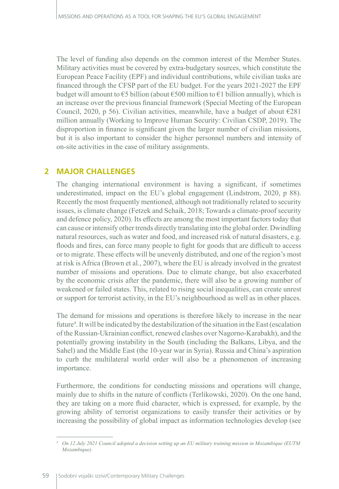The level of funding also depends on the common interest of the Member States. Military activities must be covered by extra-budgetary sources, which constitute the European Peace Facility (EPF) and individual contributions, while civilian tasks are financed through the CFSP part of the EU budget. For the years 2021-2027 the EPF budget will amount to  $\epsilon$ 5 billion (about  $\epsilon$ 500 million to  $\epsilon$ 1 billion annually), which is an increase over the previous financial framework (Special Meeting of the European Council, 2020, p 56). Civilian activities, meanwhile, have a budget of about  $\epsilon$ 281 million annually (Working to Improve Human Security: Civilian CSDP, 2019). The disproportion in finance is significant given the larger number of civilian missions, but it is also important to consider the higher personnel numbers and intensity of on-site activities in the case of military assignments.

# **2 MAJOR CHALLENGES**

The changing international environment is having a significant, if sometimes underestimated, impact on the EU's global engagement (Lindstrom, 2020, p 88). Recently the most frequently mentioned, although not traditionally related to security issues, is climate change (Fetzek and Schaik, 2018; Towards a climate-proof security and defence policy, 2020). Its effects are among the most important factors today that can cause or intensify other trends directly translating into the global order. Dwindling natural resources, such as water and food, and increased risk of natural disasters, e.g. floods and fires, can force many people to fight for goods that are difficult to access or to migrate. These effects will be unevenly distributed, and one of the region's most at risk is Africa (Brown et al., 2007), where the EU is already involved in the greatest number of missions and operations. Due to climate change, but also exacerbated by the economic crisis after the pandemic, there will also be a growing number of weakened or failed states. This, related to rising social inequalities, can create unrest or support for terrorist activity, in the EU's neighbourhood as well as in other places.

The demand for missions and operations is therefore likely to increase in the near future<sup>4</sup>. It will be indicated by the destabilization of the situation in the East (escalation of the Russian-Ukrainian conflict, renewed clashes over Nagorno-Karabakh), and the potentially growing instability in the South (including the Balkans, Libya, and the Sahel) and the Middle East (the 10-year war in Syria). Russia and China's aspiration to curb the multilateral world order will also be a phenomenon of increasing importance.

Furthermore, the conditions for conducting missions and operations will change, mainly due to shifts in the nature of conflicts (Terlikowski, 2020). On the one hand, they are taking on a more fluid character, which is expressed, for example, by the growing ability of terrorist organizations to easily transfer their activities or by increasing the possibility of global impact as information technologies develop (see

*<sup>4</sup> On 12 July 2021 Council adopted a decision setting up an EU military training mission in Mozambique (EUTM Mozambique).*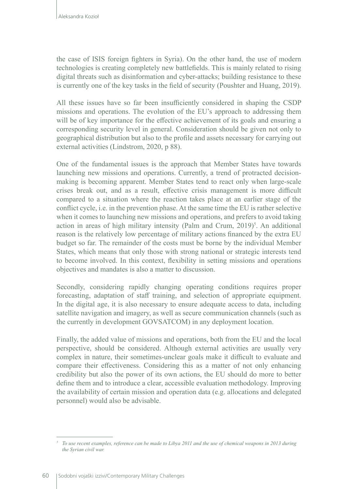the case of ISIS foreign fighters in Syria). On the other hand, the use of modern technologies is creating completely new battlefields. This is mainly related to rising digital threats such as disinformation and cyber-attacks; building resistance to these is currently one of the key tasks in the field of security (Poushter and Huang, 2019).

All these issues have so far been insufficiently considered in shaping the CSDP missions and operations. The evolution of the EU's approach to addressing them will be of key importance for the effective achievement of its goals and ensuring a corresponding security level in general. Consideration should be given not only to geographical distribution but also to the profile and assets necessary for carrying out external activities (Lindstrom, 2020, p 88).

One of the fundamental issues is the approach that Member States have towards launching new missions and operations. Currently, a trend of protracted decisionmaking is becoming apparent. Member States tend to react only when large-scale crises break out, and as a result, effective crisis management is more difficult compared to a situation where the reaction takes place at an earlier stage of the conflict cycle, i.e. in the prevention phase. At the same time the EU is rather selective when it comes to launching new missions and operations, and prefers to avoid taking action in areas of high military intensity (Palm and Crum, 2019)<sup>5</sup>. An additional reason is the relatively low percentage of military actions financed by the extra EU budget so far. The remainder of the costs must be borne by the individual Member States, which means that only those with strong national or strategic interests tend to become involved. In this context, flexibility in setting missions and operations objectives and mandates is also a matter to discussion.

Secondly, considering rapidly changing operating conditions requires proper forecasting, adaptation of staff training, and selection of appropriate equipment. In the digital age, it is also necessary to ensure adequate access to data, including satellite navigation and imagery, as well as secure communication channels (such as the currently in development GOVSATCOM) in any deployment location.

Finally, the added value of missions and operations, both from the EU and the local perspective, should be considered. Although external activities are usually very complex in nature, their sometimes-unclear goals make it difficult to evaluate and compare their effectiveness. Considering this as a matter of not only enhancing credibility but also the power of its own actions, the EU should do more to better define them and to introduce a clear, accessible evaluation methodology. Improving the availability of certain mission and operation data (e.g. allocations and delegated personnel) would also be advisable.

*<sup>5</sup> To use recent examples, reference can be made to Libya 2011 and the use of chemical weapons in 2013 during the Syrian civil war.*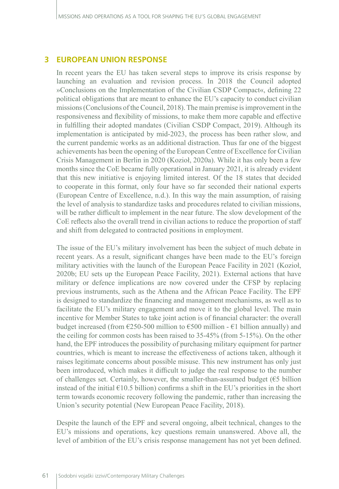### **3 EUROPEAN UNION RESPONSE**

In recent years the EU has taken several steps to improve its crisis response by launching an evaluation and revision process. In 2018 the Council adopted »Conclusions on the Implementation of the Civilian CSDP Compact«, defining 22 political obligations that are meant to enhance the EU's capacity to conduct civilian missions (Conclusions of the Council, 2018). The main premise is improvement in the responsiveness and flexibility of missions, to make them more capable and effective in fulfilling their adopted mandates (Civilian CSDP Compact, 2019). Although its implementation is anticipated by mid-2023, the process has been rather slow, and the current pandemic works as an additional distraction. Thus far one of the biggest achievements has been the opening of the European Centre of Excellence for Civilian Crisis Management in Berlin in 2020 (Kozioł, 2020a). While it has only been a few months since the CoE became fully operational in January 2021, it is already evident that this new initiative is enjoying limited interest. Of the 18 states that decided to cooperate in this format, only four have so far seconded their national experts (European Centre of Excellence, n.d.). In this way the main assumption, of raising the level of analysis to standardize tasks and procedures related to civilian missions, will be rather difficult to implement in the near future. The slow development of the CoE reflects also the overall trend in civilian actions to reduce the proportion of staff and shift from delegated to contracted positions in employment.

The issue of the EU's military involvement has been the subject of much debate in recent years. As a result, significant changes have been made to the EU's foreign military activities with the launch of the European Peace Facility in 2021 (Kozioł, 2020b; EU sets up the European Peace Facility, 2021). External actions that have military or defence implications are now covered under the CFSP by replacing previous instruments, such as the Athena and the African Peace Facility. The EPF is designed to standardize the financing and management mechanisms, as well as to facilitate the EU's military engagement and move it to the global level. The main incentive for Member States to take joint action is of financial character: the overall budget increased (from  $\epsilon$ 250-500 million to  $\epsilon$ 500 million -  $\epsilon$ 1 billion annually) and the ceiling for common costs has been raised to 35-45% (from 5-15%). On the other hand, the EPF introduces the possibility of purchasing military equipment for partner countries, which is meant to increase the effectiveness of actions taken, although it raises legitimate concerns about possible misuse. This new instrument has only just been introduced, which makes it difficult to judge the real response to the number of challenges set. Certainly, however, the smaller-than-assumed budget ( $€5$  billion instead of the initial  $\epsilon$ 10.5 billion) confirms a shift in the EU's priorities in the short term towards economic recovery following the pandemic, rather than increasing the Union's security potential (New European Peace Facility, 2018).

Despite the launch of the EPF and several ongoing, albeit technical, changes to the EU's missions and operations, key questions remain unanswered. Above all, the level of ambition of the EU's crisis response management has not yet been defined.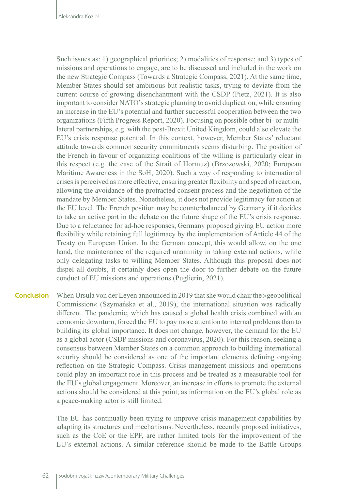Such issues as: 1) geographical priorities; 2) modalities of response; and 3) types of missions and operations to engage, are to be discussed and included in the work on the new Strategic Compass (Towards a Strategic Compass, 2021). At the same time, Member States should set ambitious but realistic tasks, trying to deviate from the current course of growing disenchantment with the CSDP (Pietz, 2021). It is also important to consider NATO's strategic planning to avoid duplication, while ensuring an increase in the EU's potential and further successful cooperation between the two organizations (Fifth Progress Report, 2020). Focusing on possible other bi- or multilateral partnerships, e.g. with the post-Brexit United Kingdom, could also elevate the EU's crisis response potential. In this context, however, Member States' reluctant attitude towards common security commitments seems disturbing. The position of the French in favour of organizing coalitions of the willing is particularly clear in this respect (e.g. the case of the Strait of Hormuz) (Brzozowski, 2020; European Maritime Awareness in the SoH, 2020). Such a way of responding to international crises is perceived as more effective, ensuring greater flexibility and speed of reaction, allowing the avoidance of the protracted consent process and the negotiation of the mandate by Member States. Nonetheless, it does not provide legitimacy for action at the EU level. The French position may be counterbalanced by Germany if it decides to take an active part in the debate on the future shape of the EU's crisis response. Due to a reluctance for ad-hoc responses, Germany proposed giving EU action more flexibility while retaining full legitimacy by the implementation of Article 44 of the Treaty on European Union. In the German concept, this would allow, on the one hand, the maintenance of the required unanimity in taking external actions, while only delegating tasks to willing Member States. Although this proposal does not dispel all doubts, it certainly does open the door to further debate on the future conduct of EU missions and operations (Puglierin, 2021).

When Ursula von der Leyen announced in 2019 that she would chair the »geopolitical Commission« (Szymańska et al., 2019), the international situation was radically different. The pandemic, which has caused a global health crisis combined with an economic downturn, forced the EU to pay more attention to internal problems than to building its global importance. It does not change, however, the demand for the EU as a global actor (CSDP missions and coronavirus, 2020). For this reason, seeking a consensus between Member States on a common approach to building international security should be considered as one of the important elements defining ongoing reflection on the Strategic Compass. Crisis management missions and operations could play an important role in this process and be treated as a measurable tool for the EU's global engagement. Moreover, an increase in efforts to promote the external actions should be considered at this point, as information on the EU's global role as a peace-making actor is still limited. **Conclusion** 

> The EU has continually been trying to improve crisis management capabilities by adapting its structures and mechanisms. Nevertheless, recently proposed initiatives, such as the CoE or the EPF, are rather limited tools for the improvement of the EU's external actions. A similar reference should be made to the Battle Groups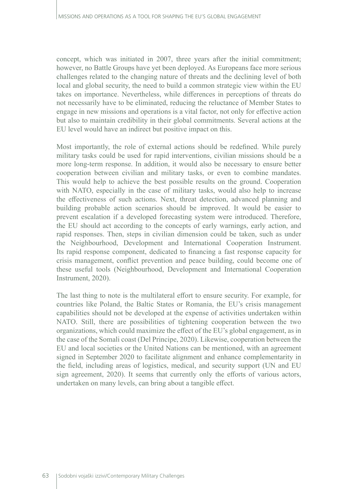concept, which was initiated in 2007, three years after the initial commitment; however, no Battle Groups have yet been deployed. As Europeans face more serious challenges related to the changing nature of threats and the declining level of both local and global security, the need to build a common strategic view within the EU takes on importance. Nevertheless, while differences in perceptions of threats do not necessarily have to be eliminated, reducing the reluctance of Member States to engage in new missions and operations is a vital factor, not only for effective action but also to maintain credibility in their global commitments. Several actions at the EU level would have an indirect but positive impact on this.

Most importantly, the role of external actions should be redefined. While purely military tasks could be used for rapid interventions, civilian missions should be a more long-term response. In addition, it would also be necessary to ensure better cooperation between civilian and military tasks, or even to combine mandates. This would help to achieve the best possible results on the ground. Cooperation with NATO, especially in the case of military tasks, would also help to increase the effectiveness of such actions. Next, threat detection, advanced planning and building probable action scenarios should be improved. It would be easier to prevent escalation if a developed forecasting system were introduced. Therefore, the EU should act according to the concepts of early warnings, early action, and rapid responses. Then, steps in civilian dimension could be taken, such as under the Neighbourhood, Development and International Cooperation Instrument. Its rapid response component, dedicated to financing a fast response capacity for crisis management, conflict prevention and peace building, could become one of these useful tools (Neighbourhood, Development and International Cooperation Instrument, 2020).

The last thing to note is the multilateral effort to ensure security. For example, for countries like Poland, the Baltic States or Romania, the EU's crisis management capabilities should not be developed at the expense of activities undertaken within NATO. Still, there are possibilities of tightening cooperation between the two organizations, which could maximize the effect of the EU's global engagement, as in the case of the Somali coast (Del Principe, 2020). Likewise, cooperation between the EU and local societies or the United Nations can be mentioned, with an agreement signed in September 2020 to facilitate alignment and enhance complementarity in the field, including areas of logistics, medical, and security support (UN and EU sign agreement, 2020). It seems that currently only the efforts of various actors, undertaken on many levels, can bring about a tangible effect.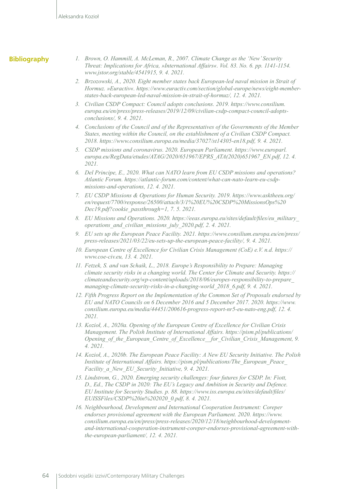#### **Bibliography**

- *1. Brown, O. Hammill, A. McLeman, R., 2007. Climate Change as the 'New' Security Threat: Implications for Africa, »International Affairs«. Vol. 83. No. 6. pp. 1141-1154. [www.jstor.org/stable/4541915](http://www.jstor.org/stable/4541915), 9. 4. 2021.*
- *2. Brzozowski, A., 2020. Eight member states back European-led naval mission in Strait of Hormuz. »Euractiv«. [https://www.euractiv.com/section/global-europe/news/eight-member](https://www.euractiv.com/section/global-europe/news/eight-member-states-back-european-led-naval-mission-in-strait-of-hormuz/)[states-back-european-led-naval-mission-in-strait-of-hormuz/,](https://www.euractiv.com/section/global-europe/news/eight-member-states-back-european-led-naval-mission-in-strait-of-hormuz/) 12. 4. 2021.*
- *3. Civilian CSDP Compact: Council adopts conclusions. 2019. [https://www.consilium.](https://www.consilium.europa.eu/en/press/press-releases/2019/12/09/civilian-csdp-compact-council-adopts-conclusions/) [europa.eu/en/press/press-releases/2019/12/09/civilian-csdp-compact-council-adopts](https://www.consilium.europa.eu/en/press/press-releases/2019/12/09/civilian-csdp-compact-council-adopts-conclusions/)[conclusions/,](https://www.consilium.europa.eu/en/press/press-releases/2019/12/09/civilian-csdp-compact-council-adopts-conclusions/) 9. 4. 2021.*
- *4. Conclusions of the Council and of the Representatives of the Governments of the Member States, meeting within the Council, on the establishment of a Civilian CSDP Compact. 2018.<https://www.consilium.europa.eu/media/37027/st14305-en18.pdf>, 9. 4. 2021.*
- *5. CSDP missions and coronavirus. 2020. European Parliament. [https://www.europarl.](https://www.europarl.europa.eu/RegData/etudes/ATAG/2020/651967/EPRS_ATA(2020)651967_EN.pdf) [europa.eu/RegData/etudes/ATAG/2020/651967/EPRS\\_ATA\(2020\)651967\\_EN.pdf](https://www.europarl.europa.eu/RegData/etudes/ATAG/2020/651967/EPRS_ATA(2020)651967_EN.pdf), 12. 4. 2021.*
- *6. Del Principe, E., 2020. What can NATO learn from EU CSDP missions and operations? Atlantic Forum. [https://atlantic-forum.com/content/what-can-nato-learn-eu-csdp](https://atlantic-forum.com/content/what-can-nato-learn-eu-csdp-missions-and-operations)[missions-and-operations,](https://atlantic-forum.com/content/what-can-nato-learn-eu-csdp-missions-and-operations) 12. 4. 2021.*
- *7. EU CSDP Missions & Operations for Human Security. 2019. [https://www.asktheeu.org/](https://www.asktheeu.org/en/request/7700/response/26500/attach/3/1%20EU%20CSDP%20MissionsOps%20Dec19.pdf?cookie_passthrough=1) [en/request/7700/response/26500/attach/3/1%20EU%20CSDP%20MissionsOps%20](https://www.asktheeu.org/en/request/7700/response/26500/attach/3/1%20EU%20CSDP%20MissionsOps%20Dec19.pdf?cookie_passthrough=1) [Dec19.pdf?cookie\\_passthrough=1](https://www.asktheeu.org/en/request/7700/response/26500/attach/3/1%20EU%20CSDP%20MissionsOps%20Dec19.pdf?cookie_passthrough=1), 7. 5. 2021.*
- *8. EU Missions and Operations. 2020. [https://eeas.europa.eu/sites/default/files/eu\\_military\\_](https://eeas.europa.eu/sites/default/files/eu_military_operations_and_civilian_missions_july_2020.pdf) [operations\\_and\\_civilian\\_missions\\_july\\_2020.pdf](https://eeas.europa.eu/sites/default/files/eu_military_operations_and_civilian_missions_july_2020.pdf), 2. 4. 2021.*
- *9. EU sets up the European Peace Facility. 2021. [https://www.consilium.europa.eu/en/press/](https://www.consilium.europa.eu/en/press/press-releases/2021/03/22/eu-sets-up-the-european-peace-facility/) [press-releases/2021/03/22/eu-sets-up-the-european-peace-facility/](https://www.consilium.europa.eu/en/press/press-releases/2021/03/22/eu-sets-up-the-european-peace-facility/), 9. 4. 2021.*
- 10. *European Centre of Excellence for Civilian Crisis Management (CoE) e.V. n.d. [https://](https://www.coe-civ.eu) [www.coe-civ.eu](https://www.coe-civ.eu), 13. 4. 2021.*
- *11. Fetzek, S. and van Schaik, L., 2018. Europe's Responsibility to Prepare: Managing climate security risks in a changing world. The Center for Climate and Security. [https://](https://climateandsecurity.org/wp-content/uploads/2018/06/europes-responsibility-to-prepare_managing-climate-security-risks-in-a-changing-world_2018_6.pdf) [climateandsecurity.org/wp-content/uploads/2018/06/europes-responsibility-to-prepare\\_](https://climateandsecurity.org/wp-content/uploads/2018/06/europes-responsibility-to-prepare_managing-climate-security-risks-in-a-changing-world_2018_6.pdf) [managing-climate-security-risks-in-a-changing-world\\_2018\\_6.pdf,](https://climateandsecurity.org/wp-content/uploads/2018/06/europes-responsibility-to-prepare_managing-climate-security-risks-in-a-changing-world_2018_6.pdf) 9. 4. 2021.*
- *12. Fifth Progress Report on the Implementation of the Common Set of Proposals endorsed by EU and NATO Councils on 6 December 2016 and 5 December 2017. 2020. [https://www.](https://www.consilium.europa.eu/media/44451/200616-progress-report-nr5-eu-nato-eng.pdf) [consilium.europa.eu/media/44451/200616-progress-report-nr5-eu-nato-eng.pdf](https://www.consilium.europa.eu/media/44451/200616-progress-report-nr5-eu-nato-eng.pdf), 12. 4. 2021.*
- *13. Kozioł, A., 2020a. Opening of the European Centre of Excellence for Civilian Crisis Management. The Polish Institute of International Affairs. [https://pism.pl/publications/](https://pism.pl/publications/Opening_of_the_European_Centre_of_Excellence__for_Civilian_Crisis_Management) [Opening\\_of\\_the\\_European\\_Centre\\_of\\_Excellence\\_\\_for\\_Civilian\\_Crisis\\_Management](https://pism.pl/publications/Opening_of_the_European_Centre_of_Excellence__for_Civilian_Crisis_Management), 9. 4. 2021.*
- *14. Kozioł, A., 2020b. The European Peace Facility: A New EU Security Initiative. The Polish Institute of International Affairs. [https://pism.pl/publications/The\\_European\\_Peace\\_](https://pism.pl/publications/The_European_Peace_Facility_a_New_EU_Security_Initiative) [Facility\\_a\\_New\\_EU\\_Security\\_Initiative,](https://pism.pl/publications/The_European_Peace_Facility_a_New_EU_Security_Initiative) 9. 4. 2021.*
- *15. Lindstrom, G., 2020. Emerging security challenges: four futures for CSDP. In: Fiott, D., Ed., The CSDP in 2020: The EU's Legacy and Ambition in Security and Defence. EU Institute for Security Studies. p. 88. [https://www.iss.europa.eu/sites/default/files/](https://www.iss.europa.eu/sites/default/files/EUISSFiles/CSDP%20in%202020_0.pdf) [EUISSFiles/CSDP%20in%202020\\_0.pdf](https://www.iss.europa.eu/sites/default/files/EUISSFiles/CSDP%20in%202020_0.pdf), 8. 4. 2021.*
- *16. Neighbourhood, Development and International Cooperation Instrument: Coreper endorses provisional agreement with the European Parliament. 2020. [https://www.](https://www.consilium.europa.eu/en/press/press-releases/2020/12/18/neighbourhood-development-and-international-cooperation-instrument-coreper-endorses-provisional-agreement-with-the-european-parliament/) [consilium.europa.eu/en/press/press-releases/2020/12/18/neighbourhood-development](https://www.consilium.europa.eu/en/press/press-releases/2020/12/18/neighbourhood-development-and-international-cooperation-instrument-coreper-endorses-provisional-agreement-with-the-european-parliament/)[and-international-cooperation-instrument-coreper-endorses-provisional-agreement-with](https://www.consilium.europa.eu/en/press/press-releases/2020/12/18/neighbourhood-development-and-international-cooperation-instrument-coreper-endorses-provisional-agreement-with-the-european-parliament/)[the-european-parliament/](https://www.consilium.europa.eu/en/press/press-releases/2020/12/18/neighbourhood-development-and-international-cooperation-instrument-coreper-endorses-provisional-agreement-with-the-european-parliament/), 12. 4. 2021.*